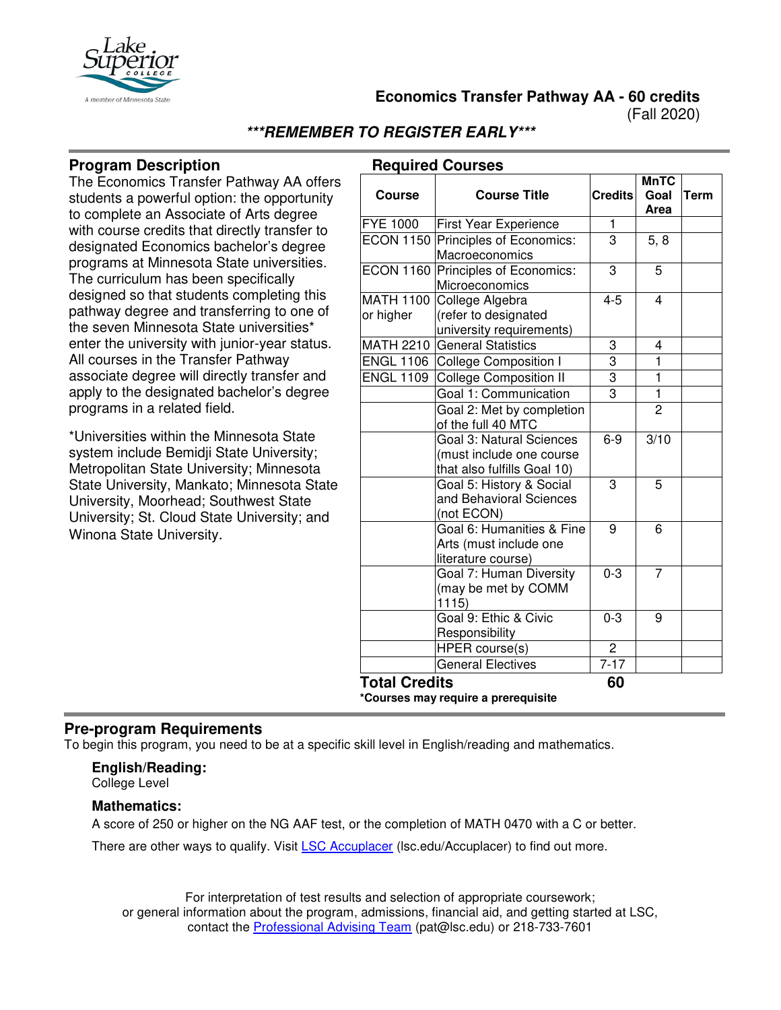

**Economics Transfer Pathway AA - 60 credits**

(Fall 2020)

# **\*\*\*REMEMBER TO REGISTER EARLY\*\*\***

#### **Program Description**

The Economics Transfer Pathway AA offers students a powerful option: the opportunity to complete an Associate of Arts degree with course credits that directly transfer to designated Economics bachelor's degree programs at Minnesota State universities. The curriculum has been specifically designed so that students completing this pathway degree and transferring to one of the seven Minnesota State universities\* enter the university with junior-year status. All courses in the Transfer Pathway associate degree will directly transfer and apply to the designated bachelor's degree programs in a related field.

\*Universities within the Minnesota State system include Bemidji State University; Metropolitan State University; Minnesota State University, Mankato; Minnesota State University, Moorhead; Southwest State University; St. Cloud State University; and Winona State University.

|  | <b>Required Courses</b> |
|--|-------------------------|
|--|-------------------------|

|                               |                                                                                     |                | <b>MnTC</b>       |             |
|-------------------------------|-------------------------------------------------------------------------------------|----------------|-------------------|-------------|
| <b>Course</b>                 | <b>Course Title</b>                                                                 | <b>Credits</b> | Goal<br>Area      | <b>Term</b> |
| <b>FYE 1000</b>               | First Year Experience                                                               | 1              |                   |             |
| <b>ECON 1150</b>              | Principles of Economics:<br>Macroeconomics                                          | $\overline{3}$ | 5, 8              |             |
|                               | ECON 1160 Principles of Economics:<br>Microeconomics                                | 3              | 5                 |             |
| <b>MATH 1100</b><br>or higher | College Algebra<br>(refer to designated<br>university requirements)                 | $4 - 5$        | 4                 |             |
|                               | MATH 2210 General Statistics                                                        | 3              | 4                 |             |
| <b>ENGL 1106</b>              | <b>College Composition I</b>                                                        | 3              | $\mathbf 1$       |             |
| <b>ENGL 1109</b>              | <b>College Composition II</b>                                                       | $\overline{3}$ | $\mathbf{1}$      |             |
|                               | Goal 1: Communication                                                               | $\overline{3}$ | 1                 |             |
|                               | Goal 2: Met by completion<br>of the full 40 MTC                                     |                | $\overline{2}$    |             |
|                               | Goal 3: Natural Sciences<br>(must include one course<br>that also fulfills Goal 10) | $6 - 9$        | $\overline{3/10}$ |             |
|                               | Goal 5: History & Social<br>and Behavioral Sciences<br>(not ECON)                   | 3              | 5                 |             |
|                               | Goal 6: Humanities & Fine<br>Arts (must include one<br>literature course)           | 9              | 6                 |             |
|                               | Goal 7: Human Diversity<br>(may be met by COMM<br>1115)                             | $0 - 3$        | 7                 |             |
|                               | Goal 9: Ethic & Civic<br>Responsibility                                             | $0 - 3$        | 9                 |             |
|                               | <b>HPER</b> course(s)                                                               | $\overline{c}$ |                   |             |
|                               | General Electives                                                                   | $7 - 17$       |                   |             |
| <b>Total Credits</b>          | *Courses may require a prerequisite                                                 | 60             |                   |             |

#### **Pre-program Requirements**

To begin this program, you need to be at a specific skill level in English/reading and mathematics.

#### **English/Reading:**

College Level

#### **Mathematics:**

A score of 250 or higher on the NG AAF test, or the completion of MATH 0470 with a C or better.

There are other ways to qualify. Visit [LSC Accuplacer](https://www.lsc.edu/accuplacer/) (Isc.edu/Accuplacer) to find out more.

For interpretation of test results and selection of appropriate coursework; or general information about the program, admissions, financial aid, and getting started at LSC, contact the [Professional Advising Team](mailto:pat@lsc.edu) (pat@lsc.edu) or 218-733-7601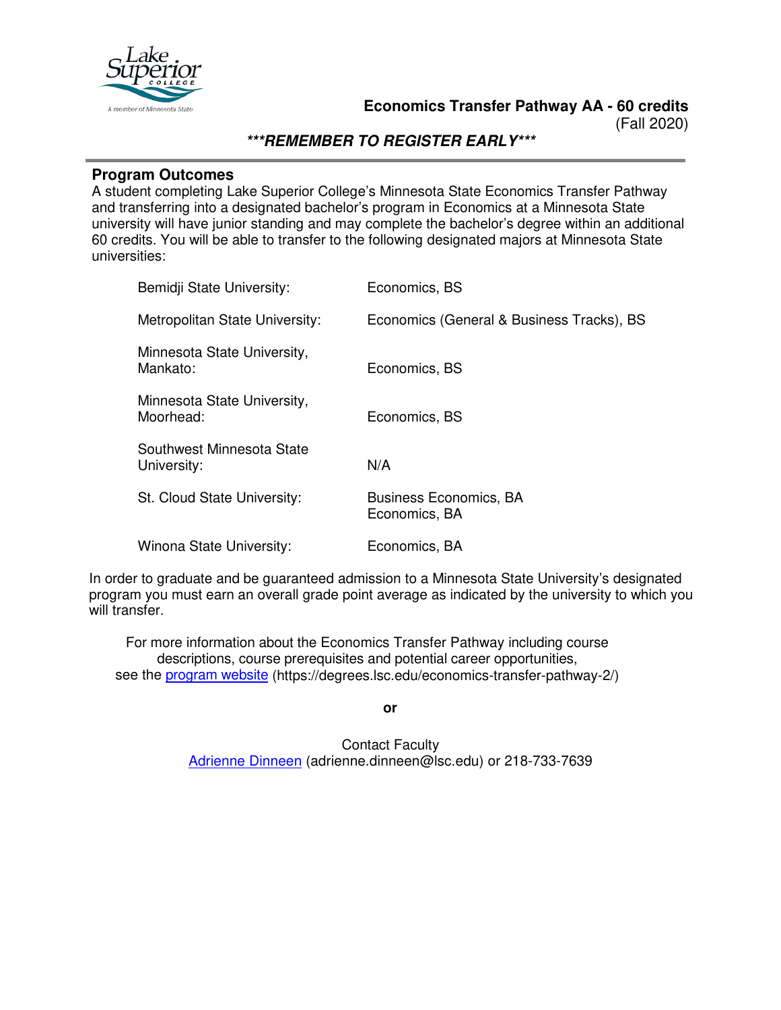

(Fall 2020)

### **\*\*\*REMEMBER TO REGISTER EARLY\*\*\***

#### **Program Outcomes**

A student completing Lake Superior College's Minnesota State Economics Transfer Pathway and transferring into a designated bachelor's program in Economics at a Minnesota State university will have junior standing and may complete the bachelor's degree within an additional 60 credits. You will be able to transfer to the following designated majors at Minnesota State universities:

| Bemidji State University:                | Economics, BS                                  |
|------------------------------------------|------------------------------------------------|
| Metropolitan State University:           | Economics (General & Business Tracks), BS      |
| Minnesota State University,<br>Mankato:  | Economics, BS                                  |
| Minnesota State University,<br>Moorhead: | Economics, BS                                  |
| Southwest Minnesota State<br>University: | N/A                                            |
| St. Cloud State University:              | <b>Business Economics, BA</b><br>Economics, BA |
| Winona State University:                 | Economics, BA                                  |

In order to graduate and be guaranteed admission to a Minnesota State University's designated program you must earn an overall grade point average as indicated by the university to which you will transfer.

For more information about the Economics Transfer Pathway including course descriptions, course prerequisites and potential career opportunities, see the [program website](https://degrees.lsc.edu/economics-transfer-pathway-2/) (https://degrees.lsc.edu/economics-transfer-pathway-2/)

**or**

Contact Faculty [Adrienne Dinneen](mailto:adrienne.dinneen@lsc.edu) (adrienne.dinneen@lsc.edu) or 218-733-7639